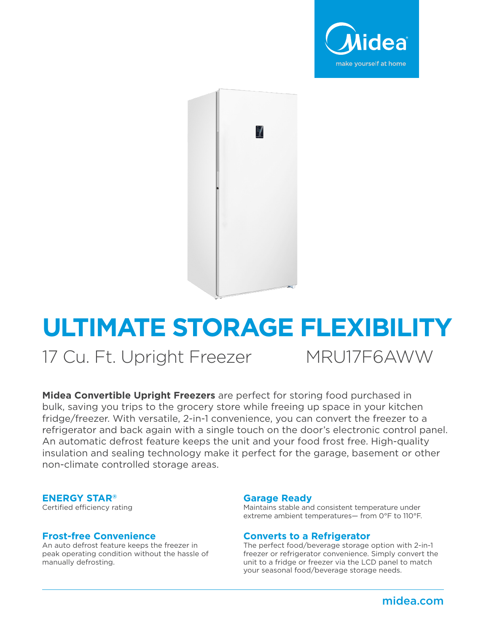



# **ULTIMATE STORAGE FLEXIBILITY**

17 Cu. Ft. Upright Freezer MRU17F6AWW

**Midea Convertible Upright Freezers** are perfect for storing food purchased in bulk, saving you trips to the grocery store while freeing up space in your kitchen fridge/freezer. With versatile, 2-in-1 convenience, you can convert the freezer to a refrigerator and back again with a single touch on the door's electronic control panel. An automatic defrost feature keeps the unit and your food frost free. High-quality insulation and sealing technology make it perfect for the garage, basement or other non-climate controlled storage areas.

#### **ENERGY STAR®**

Certified efficiency rating

#### **Frost-free Convenience**

An auto defrost feature keeps the freezer in peak operating condition without the hassle of manually defrosting.

#### **Garage Ready**

Maintains stable and consistent temperature under extreme ambient temperatures— from 0°F to 110°F.

#### **Converts to a Refrigerator**

The perfect food/beverage storage option with 2-in-1 freezer or refrigerator convenience. Simply convert the unit to a fridge or freezer via the LCD panel to match your seasonal food/beverage storage needs.

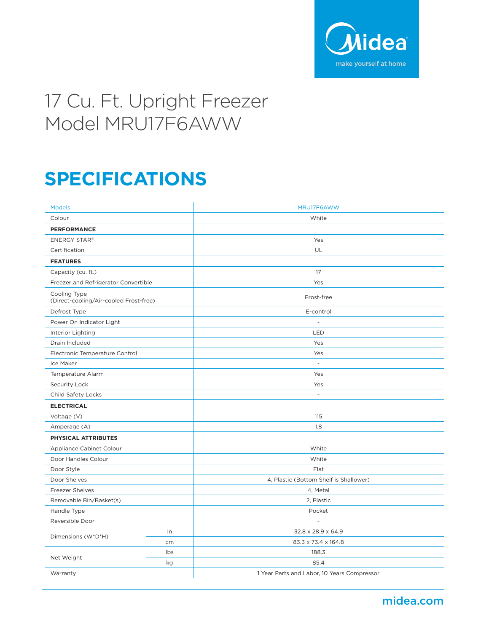

## 17 Cu. Ft. Upright Freezer Model MRU17F6AWW

### **SPECIFICATIONS**

| <b>Models</b>                                          |     | MRU17F6AWW                                  |
|--------------------------------------------------------|-----|---------------------------------------------|
| Colour                                                 |     | White                                       |
| <b>PERFORMANCE</b>                                     |     |                                             |
| <b>ENERGY STAR®</b>                                    |     | Yes                                         |
| Certification                                          |     | UL                                          |
| <b>FEATURES</b>                                        |     |                                             |
| Capacity (cu. ft.)                                     |     | 17                                          |
| Freezer and Refrigerator Convertible                   |     | Yes                                         |
| Cooling Type<br>(Direct-cooling/Air-cooled Frost-free) |     | Frost-free                                  |
| Defrost Type                                           |     | E-control                                   |
| Power On Indicator Light                               |     | $\overline{a}$                              |
| Interior Lighting                                      |     | <b>LED</b>                                  |
| Drain Included                                         |     | Yes                                         |
| Electronic Temperature Control                         |     | Yes                                         |
| Ice Maker                                              |     | $\overline{a}$                              |
| Temperature Alarm                                      |     | Yes                                         |
| Security Lock                                          |     | Yes                                         |
| Child Safety Locks                                     |     | $\overline{\phantom{a}}$                    |
| <b>ELECTRICAL</b>                                      |     |                                             |
| Voltage (V)                                            |     | 115                                         |
| Amperage (A)                                           |     | 1.8                                         |
| PHYSICAL ATTRIBUTES                                    |     |                                             |
| Appliance Cabinet Colour                               |     | White                                       |
| Door Handles Colour                                    |     | White                                       |
| Door Style                                             |     | Flat                                        |
| Door Shelves                                           |     | 4, Plastic (Bottom Shelf is Shallower)      |
| <b>Freezer Shelves</b>                                 |     | 4, Metal                                    |
| Removable Bin/Basket(s)                                |     | 2, Plastic                                  |
| Handle Type                                            |     | Pocket                                      |
| Reversible Door                                        |     | $\overline{\phantom{m}}$                    |
| Dimensions (W*D*H)                                     | in  | 32.8 x 28.9 x 64.9                          |
|                                                        | cm  | 83.3 x 73.4 x 164.8                         |
| Net Weight                                             | lbs | 188.3                                       |
|                                                        | kg  | 85.4                                        |
| Warranty                                               |     | 1 Year Parts and Labor, 10 Years Compressor |